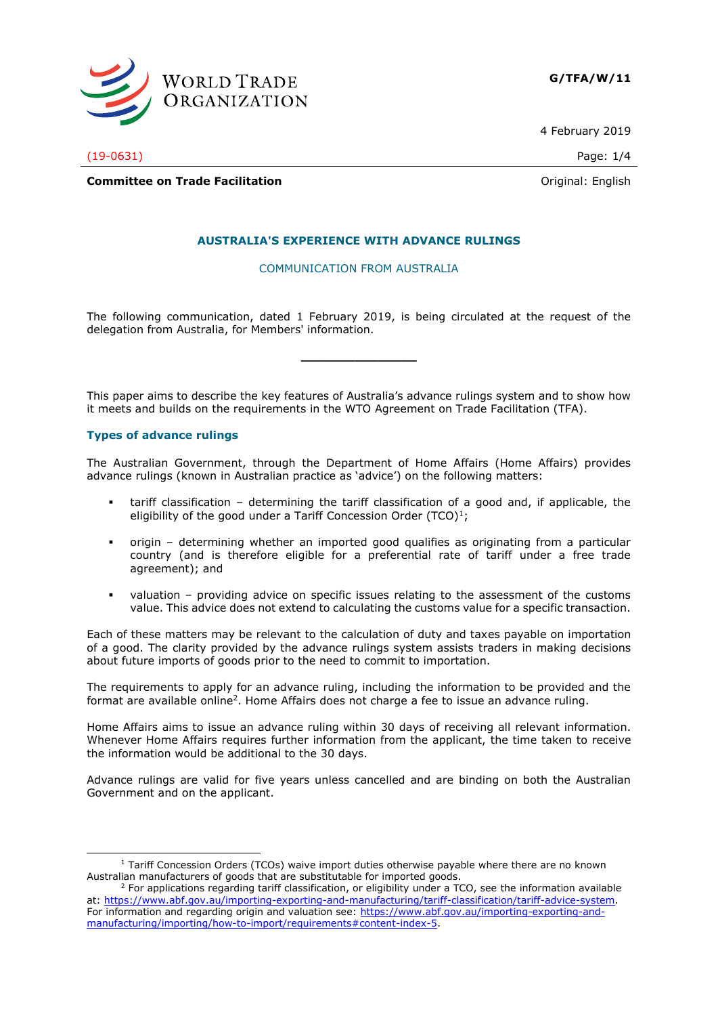

4 February 2019

(19-0631) Page: 1/4

**Committee on Trade Facilitation Committee on Trade Facilitation Committee on Trade Facilitation** 

# **AUSTRALIA'S EXPERIENCE WITH ADVANCE RULINGS**

## COMMUNICATION FROM AUSTRALIA

The following communication, dated 1 February 2019, is being circulated at the request of the delegation from Australia, for Members' information.

**\_\_\_\_\_\_\_\_\_\_\_\_\_\_\_**

This paper aims to describe the key features of Australia's advance rulings system and to show how it meets and builds on the requirements in the WTO Agreement on Trade Facilitation (TFA).

## **Types of advance rulings**

The Australian Government, through the Department of Home Affairs (Home Affairs) provides advance rulings (known in Australian practice as 'advice') on the following matters:

- tariff classification determining the tariff classification of a good and, if applicable, the eligibility of the good under a Tariff Concession Order  $(TCO)^1$ ;
- origin determining whether an imported good qualifies as originating from a particular country (and is therefore eligible for a preferential rate of tariff under a free trade agreement); and
- $v$ aluation providing advice on specific issues relating to the assessment of the customs value. This advice does not extend to calculating the customs value for a specific transaction.

Each of these matters may be relevant to the calculation of duty and taxes payable on importation of a good. The clarity provided by the advance rulings system assists traders in making decisions about future imports of goods prior to the need to commit to importation.

The requirements to apply for an advance ruling, including the information to be provided and the format are available online<sup>2</sup>. Home Affairs does not charge a fee to issue an advance ruling.

Home Affairs aims to issue an advance ruling within 30 days of receiving all relevant information. Whenever Home Affairs requires further information from the applicant, the time taken to receive the information would be additional to the 30 days.

Advance rulings are valid for five years unless cancelled and are binding on both the Australian Government and on the applicant.

<sup>-</sup> $1$  Tariff Concession Orders (TCOs) waive import duties otherwise payable where there are no known Australian manufacturers of goods that are substitutable for imported goods.

 $2$  For applications regarding tariff classification, or eligibility under a TCO, see the information available at: [https://www.abf.gov.au/importing-exporting-and-manufacturing/tariff-classification/tariff-advice-system.](https://www.abf.gov.au/importing-exporting-and-manufacturing/tariff-classification/tariff-advice-system) For information and regarding origin and valuation see: [https://www.abf.gov.au/importing-exporting-and](https://www.abf.gov.au/importing-exporting-and-manufacturing/importing/how-to-import/requirements#content-index-5)[manufacturing/importing/how-to-import/requirements#content-index-5.](https://www.abf.gov.au/importing-exporting-and-manufacturing/importing/how-to-import/requirements#content-index-5)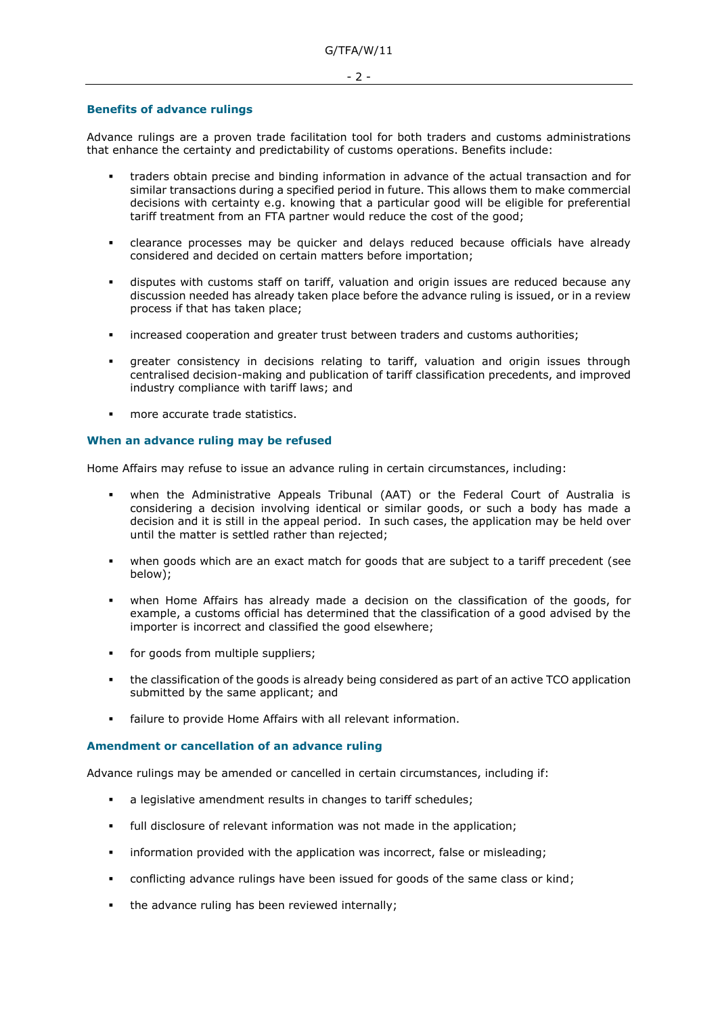#### **Benefits of advance rulings**

Advance rulings are a proven trade facilitation tool for both traders and customs administrations that enhance the certainty and predictability of customs operations. Benefits include:

- traders obtain precise and binding information in advance of the actual transaction and for similar transactions during a specified period in future. This allows them to make commercial decisions with certainty e.g. knowing that a particular good will be eligible for preferential tariff treatment from an FTA partner would reduce the cost of the good;
- clearance processes may be quicker and delays reduced because officials have already considered and decided on certain matters before importation;
- disputes with customs staff on tariff, valuation and origin issues are reduced because any discussion needed has already taken place before the advance ruling is issued, or in a review process if that has taken place;
- increased cooperation and greater trust between traders and customs authorities;
- greater consistency in decisions relating to tariff, valuation and origin issues through centralised decision-making and publication of tariff classification precedents, and improved industry compliance with tariff laws; and
- more accurate trade statistics.

### **When an advance ruling may be refused**

Home Affairs may refuse to issue an advance ruling in certain circumstances, including:

- when the Administrative Appeals Tribunal (AAT) or the Federal Court of Australia is considering a decision involving identical or similar goods, or such a body has made a decision and it is still in the appeal period. In such cases, the application may be held over until the matter is settled rather than rejected;
- when goods which are an exact match for goods that are subject to a tariff precedent (see below);
- when Home Affairs has already made a decision on the classification of the goods, for example, a customs official has determined that the classification of a good advised by the importer is incorrect and classified the good elsewhere;
- for goods from multiple suppliers;
- . the classification of the goods is already being considered as part of an active TCO application submitted by the same applicant; and
- failure to provide Home Affairs with all relevant information.

### **Amendment or cancellation of an advance ruling**

Advance rulings may be amended or cancelled in certain circumstances, including if:

- a legislative amendment results in changes to tariff schedules;
- full disclosure of relevant information was not made in the application:
- information provided with the application was incorrect, false or misleading;
- conflicting advance rulings have been issued for goods of the same class or kind;
- the advance ruling has been reviewed internally;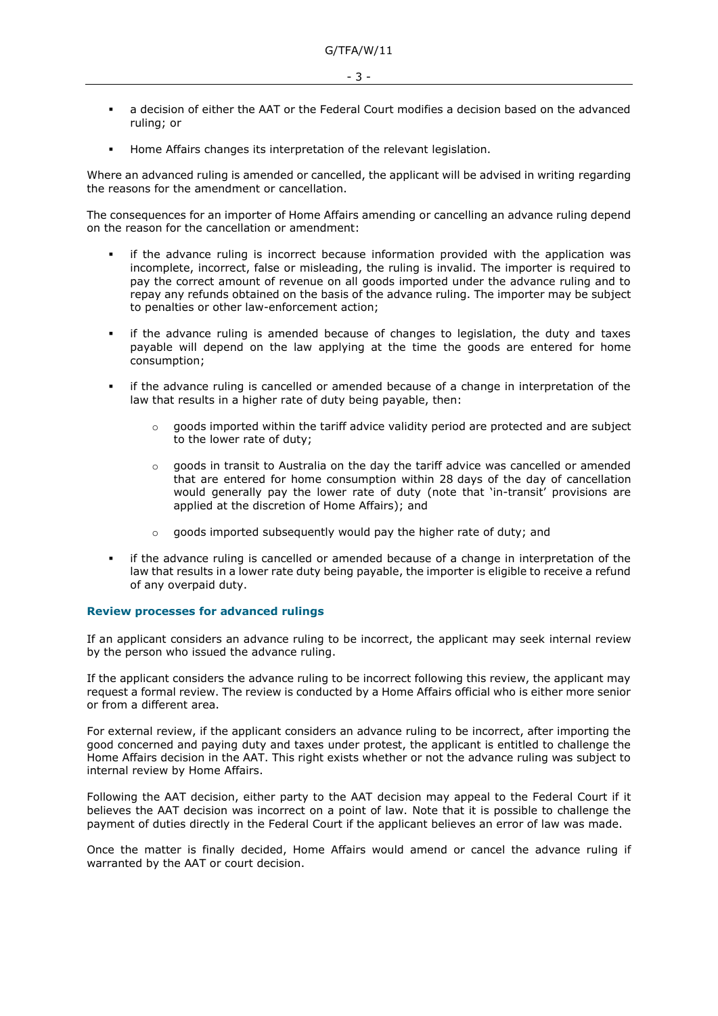- a decision of either the AAT or the Federal Court modifies a decision based on the advanced ruling; or
- Home Affairs changes its interpretation of the relevant legislation.

Where an advanced ruling is amended or cancelled, the applicant will be advised in writing regarding the reasons for the amendment or cancellation.

The consequences for an importer of Home Affairs amending or cancelling an advance ruling depend on the reason for the cancellation or amendment:

- if the advance ruling is incorrect because information provided with the application was incomplete, incorrect, false or misleading, the ruling is invalid. The importer is required to pay the correct amount of revenue on all goods imported under the advance ruling and to repay any refunds obtained on the basis of the advance ruling. The importer may be subject to penalties or other law-enforcement action;
- if the advance ruling is amended because of changes to legislation, the duty and taxes payable will depend on the law applying at the time the goods are entered for home consumption;
- if the advance ruling is cancelled or amended because of a change in interpretation of the law that results in a higher rate of duty being payable, then:
	- $\circ$  goods imported within the tariff advice validity period are protected and are subject to the lower rate of duty;
	- $\circ$  goods in transit to Australia on the day the tariff advice was cancelled or amended that are entered for home consumption within 28 days of the day of cancellation would generally pay the lower rate of duty (note that 'in-transit' provisions are applied at the discretion of Home Affairs); and
	- o goods imported subsequently would pay the higher rate of duty; and
- if the advance ruling is cancelled or amended because of a change in interpretation of the law that results in a lower rate duty being payable, the importer is eligible to receive a refund of any overpaid duty.

## **Review processes for advanced rulings**

If an applicant considers an advance ruling to be incorrect, the applicant may seek internal review by the person who issued the advance ruling.

If the applicant considers the advance ruling to be incorrect following this review, the applicant may request a formal review. The review is conducted by a Home Affairs official who is either more senior or from a different area.

For external review, if the applicant considers an advance ruling to be incorrect, after importing the good concerned and paying duty and taxes under protest, the applicant is entitled to challenge the Home Affairs decision in the AAT. This right exists whether or not the advance ruling was subject to internal review by Home Affairs.

Following the AAT decision, either party to the AAT decision may appeal to the Federal Court if it believes the AAT decision was incorrect on a point of law. Note that it is possible to challenge the payment of duties directly in the Federal Court if the applicant believes an error of law was made.

Once the matter is finally decided, Home Affairs would amend or cancel the advance ruling if warranted by the AAT or court decision.